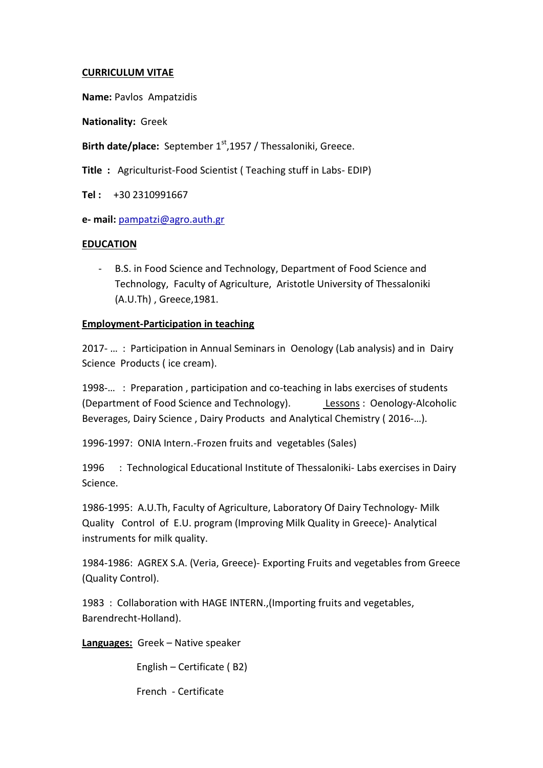## **CURRICULUM VITAE**

**Name:** Pavlos Ampatzidis

**Nationality:** Greek

Birth date/place: September 1<sup>st</sup>,1957 / Thessaloniki, Greece.

**Title :** Agriculturist-Food Scientist ( Teaching stuff in Labs- EDIP)

**Tel :** +30 2310991667

**e- mail:** [pampatzi@agro.auth.gr](mailto:pampatzi@agro.auth.gr) 

## **EDUCATION**

- B.S. in Food Science and Technology, Department of Food Science and Technology, Faculty of Agriculture, Aristotle University of Thessaloniki (A.U.Th) , Greece,1981.

## **Employment-Participation in teaching**

2017- … : Participation in Annual Seminars in Oenology (Lab analysis) and in Dairy Science Products ( ice cream).

1998-… : Preparation , participation and co-teaching in labs exercises of students (Department of Food Science and Technology). Lessons : Oenology-Alcoholic Beverages, Dairy Science , Dairy Products and Analytical Chemistry ( 2016-…).

1996-1997: ONIA Intern.-Frozen fruits and vegetables (Sales)

1996 : Technological Educational Institute of Thessaloniki- Labs exercises in Dairy Science.

1986-1995: A.U.Th, Faculty of Agriculture, Laboratory Of Dairy Technology- Milk Quality Control of E.U. program (Improving Milk Quality in Greece)- Analytical instruments for milk quality.

1984-1986: AGREX S.A. (Veria, Greece)- Exporting Fruits and vegetables from Greece (Quality Control).

1983 : Collaboration with HAGE INTERN.,(Importing fruits and vegetables, Barendrecht-Holland).

**Languages:** Greek – Native speaker

English – Certificate ( B2)

French - Certificate